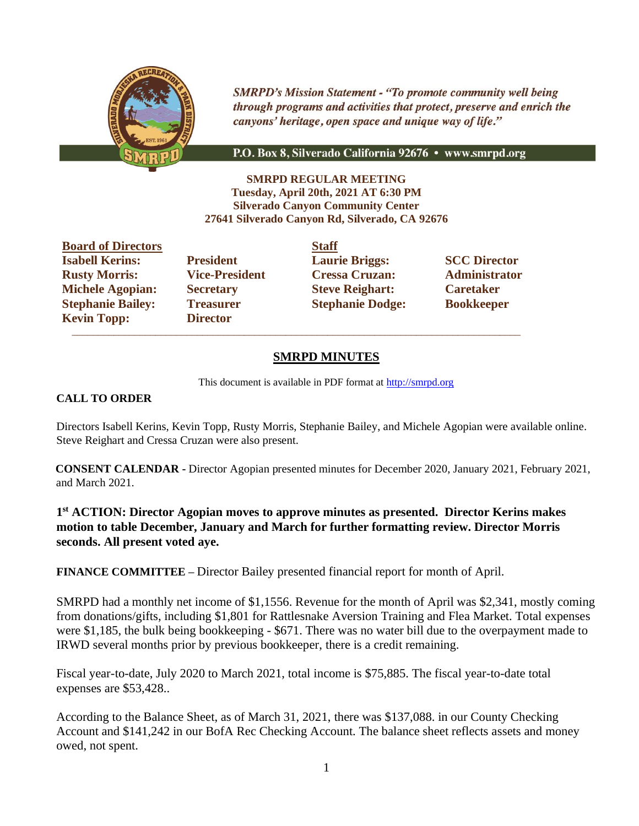

**SMRPD's Mission Statement - "To promote community well being** through programs and activities that protect, preserve and enrich the canyons' heritage, open space and unique way of life."

P.O. Box 8, Silverado California 92676 • www.smrpd.org

**SMRPD REGULAR MEETING Tuesday, April 20th, 2021 AT 6:30 PM Silverado Canyon Community Center 27641 Silverado Canyon Rd, Silverado, CA 92676**

**Board of Directors Staff Isabell Kerins: President Laurie Briggs: SCC Director Rusty Morris: Vice-President Cressa Cruzan: Administrator Michele Agopian: Secretary Steve Reighart: Caretaker Stephanie Bailey: Treasurer Stephanie Dodge: Bookkeeper Kevin Topp: Director**

 $\overline{\phantom{a}}$  ,  $\overline{\phantom{a}}$  ,  $\overline{\phantom{a}}$  ,  $\overline{\phantom{a}}$  ,  $\overline{\phantom{a}}$  ,  $\overline{\phantom{a}}$  ,  $\overline{\phantom{a}}$  ,  $\overline{\phantom{a}}$  ,  $\overline{\phantom{a}}$  ,  $\overline{\phantom{a}}$  ,  $\overline{\phantom{a}}$  ,  $\overline{\phantom{a}}$  ,  $\overline{\phantom{a}}$  ,  $\overline{\phantom{a}}$  ,  $\overline{\phantom{a}}$  ,  $\overline{\phantom{a}}$ 

## **SMRPD MINUTES**

This document is available in PDF format at [http://smrpd.org](http://smrpd.org/)

#### **CALL TO ORDER**

Directors Isabell Kerins, Kevin Topp, Rusty Morris, Stephanie Bailey, and Michele Agopian were available online. Steve Reighart and Cressa Cruzan were also present.

**CONSENT CALENDAR -** Director Agopian presented minutes for December 2020, January 2021, February 2021, and March 2021.

**1 st ACTION: Director Agopian moves to approve minutes as presented. Director Kerins makes motion to table December, January and March for further formatting review. Director Morris seconds. All present voted aye.**

**FINANCE COMMITTEE –** Director Bailey presented financial report for month of April.

SMRPD had a monthly net income of \$1,1556. Revenue for the month of April was \$2,341, mostly coming from donations/gifts, including \$1,801 for Rattlesnake Aversion Training and Flea Market. Total expenses were \$1,185, the bulk being bookkeeping - \$671. There was no water bill due to the overpayment made to IRWD several months prior by previous bookkeeper, there is a credit remaining.

Fiscal year-to-date, July 2020 to March 2021, total income is \$75,885. The fiscal year-to-date total expenses are \$53,428..

According to the Balance Sheet, as of March 31, 2021, there was \$137,088. in our County Checking Account and \$141,242 in our BofA Rec Checking Account. The balance sheet reflects assets and money owed, not spent.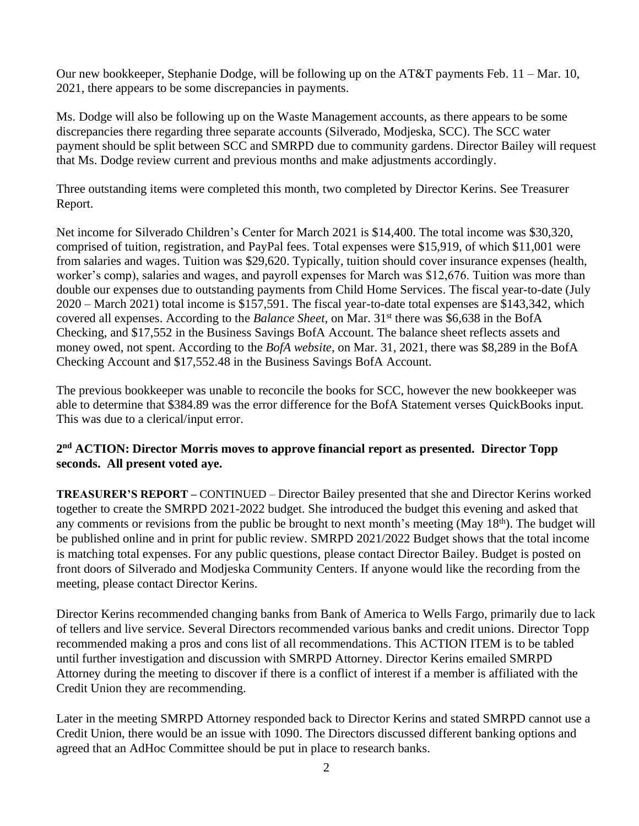Our new bookkeeper, Stephanie Dodge, will be following up on the AT&T payments Feb. 11 – Mar. 10, 2021, there appears to be some discrepancies in payments.

Ms. Dodge will also be following up on the Waste Management accounts, as there appears to be some discrepancies there regarding three separate accounts (Silverado, Modjeska, SCC). The SCC water payment should be split between SCC and SMRPD due to community gardens. Director Bailey will request that Ms. Dodge review current and previous months and make adjustments accordingly.

Three outstanding items were completed this month, two completed by Director Kerins. See Treasurer Report.

Net income for Silverado Children's Center for March 2021 is \$14,400. The total income was \$30,320, comprised of tuition, registration, and PayPal fees. Total expenses were \$15,919, of which \$11,001 were from salaries and wages. Tuition was \$29,620. Typically, tuition should cover insurance expenses (health, worker's comp), salaries and wages, and payroll expenses for March was \$12,676. Tuition was more than double our expenses due to outstanding payments from Child Home Services. The fiscal year-to-date (July 2020 – March 2021) total income is \$157,591. The fiscal year-to-date total expenses are \$143,342, which covered all expenses. According to the *Balance Sheet*, on Mar. 31<sup>st</sup> there was \$6,638 in the BofA Checking, and \$17,552 in the Business Savings BofA Account. The balance sheet reflects assets and money owed, not spent. According to the *BofA website*, on Mar. 31, 2021, there was \$8,289 in the BofA Checking Account and \$17,552.48 in the Business Savings BofA Account.

The previous bookkeeper was unable to reconcile the books for SCC, however the new bookkeeper was able to determine that \$384.89 was the error difference for the BofA Statement verses QuickBooks input. This was due to a clerical/input error.

# **2 nd ACTION: Director Morris moves to approve financial report as presented. Director Topp seconds. All present voted aye.**

**TREASURER'S REPORT –** CONTINUED – Director Bailey presented that she and Director Kerins worked together to create the SMRPD 2021-2022 budget. She introduced the budget this evening and asked that any comments or revisions from the public be brought to next month's meeting (May 18th). The budget will be published online and in print for public review. SMRPD 2021/2022 Budget shows that the total income is matching total expenses. For any public questions, please contact Director Bailey. Budget is posted on front doors of Silverado and Modjeska Community Centers. If anyone would like the recording from the meeting, please contact Director Kerins.

Director Kerins recommended changing banks from Bank of America to Wells Fargo, primarily due to lack of tellers and live service. Several Directors recommended various banks and credit unions. Director Topp recommended making a pros and cons list of all recommendations. This ACTION ITEM is to be tabled until further investigation and discussion with SMRPD Attorney. Director Kerins emailed SMRPD Attorney during the meeting to discover if there is a conflict of interest if a member is affiliated with the Credit Union they are recommending.

Later in the meeting SMRPD Attorney responded back to Director Kerins and stated SMRPD cannot use a Credit Union, there would be an issue with 1090. The Directors discussed different banking options and agreed that an AdHoc Committee should be put in place to research banks.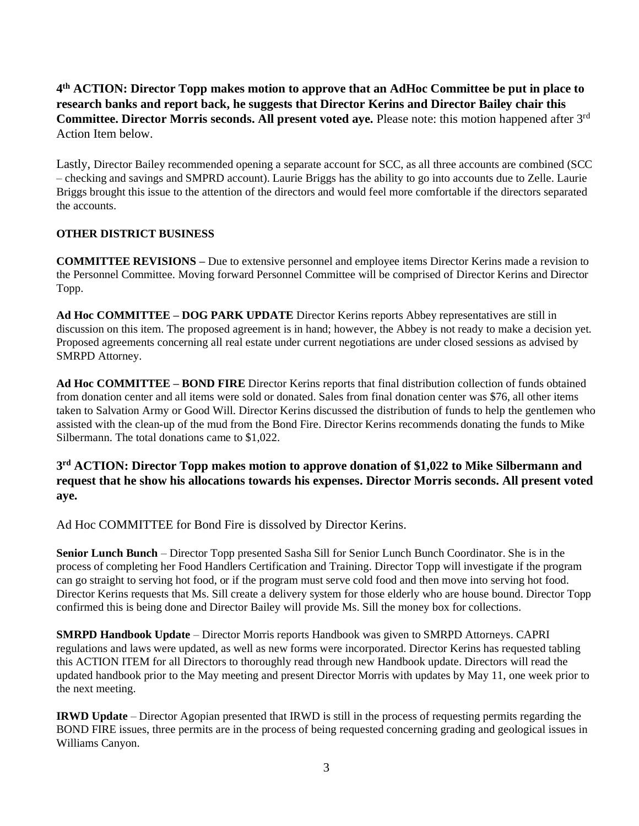# **4 th ACTION: Director Topp makes motion to approve that an AdHoc Committee be put in place to research banks and report back, he suggests that Director Kerins and Director Bailey chair this Committee. Director Morris seconds. All present voted aye.** Please note: this motion happened after 3 rd Action Item below.

Lastly, Director Bailey recommended opening a separate account for SCC, as all three accounts are combined (SCC – checking and savings and SMPRD account). Laurie Briggs has the ability to go into accounts due to Zelle. Laurie Briggs brought this issue to the attention of the directors and would feel more comfortable if the directors separated the accounts.

### **OTHER DISTRICT BUSINESS**

**COMMITTEE REVISIONS –** Due to extensive personnel and employee items Director Kerins made a revision to the Personnel Committee. Moving forward Personnel Committee will be comprised of Director Kerins and Director Topp.

**Ad Hoc COMMITTEE – DOG PARK UPDATE** Director Kerins reports Abbey representatives are still in discussion on this item. The proposed agreement is in hand; however, the Abbey is not ready to make a decision yet. Proposed agreements concerning all real estate under current negotiations are under closed sessions as advised by SMRPD Attorney.

**Ad Hoc COMMITTEE – BOND FIRE** Director Kerins reports that final distribution collection of funds obtained from donation center and all items were sold or donated. Sales from final donation center was \$76, all other items taken to Salvation Army or Good Will. Director Kerins discussed the distribution of funds to help the gentlemen who assisted with the clean-up of the mud from the Bond Fire. Director Kerins recommends donating the funds to Mike Silbermann. The total donations came to \$1,022.

### **3 rd ACTION: Director Topp makes motion to approve donation of \$1,022 to Mike Silbermann and request that he show his allocations towards his expenses. Director Morris seconds. All present voted aye.**

Ad Hoc COMMITTEE for Bond Fire is dissolved by Director Kerins.

**Senior Lunch Bunch** – Director Topp presented Sasha Sill for Senior Lunch Bunch Coordinator. She is in the process of completing her Food Handlers Certification and Training. Director Topp will investigate if the program can go straight to serving hot food, or if the program must serve cold food and then move into serving hot food. Director Kerins requests that Ms. Sill create a delivery system for those elderly who are house bound. Director Topp confirmed this is being done and Director Bailey will provide Ms. Sill the money box for collections.

**SMRPD Handbook Update** – Director Morris reports Handbook was given to SMRPD Attorneys. CAPRI regulations and laws were updated, as well as new forms were incorporated. Director Kerins has requested tabling this ACTION ITEM for all Directors to thoroughly read through new Handbook update. Directors will read the updated handbook prior to the May meeting and present Director Morris with updates by May 11, one week prior to the next meeting.

**IRWD Update** – Director Agopian presented that IRWD is still in the process of requesting permits regarding the BOND FIRE issues, three permits are in the process of being requested concerning grading and geological issues in Williams Canyon.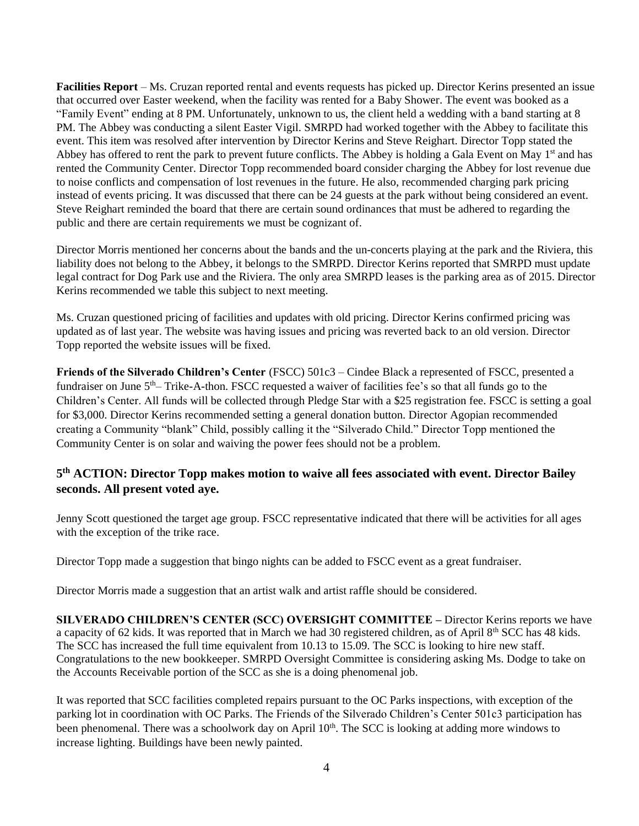**Facilities Report** – Ms. Cruzan reported rental and events requests has picked up. Director Kerins presented an issue that occurred over Easter weekend, when the facility was rented for a Baby Shower. The event was booked as a "Family Event" ending at 8 PM. Unfortunately, unknown to us, the client held a wedding with a band starting at 8 PM. The Abbey was conducting a silent Easter Vigil. SMRPD had worked together with the Abbey to facilitate this event. This item was resolved after intervention by Director Kerins and Steve Reighart. Director Topp stated the Abbey has offered to rent the park to prevent future conflicts. The Abbey is holding a Gala Event on May  $1<sup>st</sup>$  and has rented the Community Center. Director Topp recommended board consider charging the Abbey for lost revenue due to noise conflicts and compensation of lost revenues in the future. He also, recommended charging park pricing instead of events pricing. It was discussed that there can be 24 guests at the park without being considered an event. Steve Reighart reminded the board that there are certain sound ordinances that must be adhered to regarding the public and there are certain requirements we must be cognizant of.

Director Morris mentioned her concerns about the bands and the un-concerts playing at the park and the Riviera, this liability does not belong to the Abbey, it belongs to the SMRPD. Director Kerins reported that SMRPD must update legal contract for Dog Park use and the Riviera. The only area SMRPD leases is the parking area as of 2015. Director Kerins recommended we table this subject to next meeting.

Ms. Cruzan questioned pricing of facilities and updates with old pricing. Director Kerins confirmed pricing was updated as of last year. The website was having issues and pricing was reverted back to an old version. Director Topp reported the website issues will be fixed.

**Friends of the Silverado Children's Center** (FSCC) 501c3 – Cindee Black a represented of FSCC, presented a fundraiser on June 5<sup>th</sup>– Trike-A-thon. FSCC requested a waiver of facilities fee's so that all funds go to the Children's Center. All funds will be collected through Pledge Star with a \$25 registration fee. FSCC is setting a goal for \$3,000. Director Kerins recommended setting a general donation button. Director Agopian recommended creating a Community "blank" Child, possibly calling it the "Silverado Child." Director Topp mentioned the Community Center is on solar and waiving the power fees should not be a problem.

## **5 th ACTION: Director Topp makes motion to waive all fees associated with event. Director Bailey seconds. All present voted aye.**

Jenny Scott questioned the target age group. FSCC representative indicated that there will be activities for all ages with the exception of the trike race.

Director Topp made a suggestion that bingo nights can be added to FSCC event as a great fundraiser.

Director Morris made a suggestion that an artist walk and artist raffle should be considered.

**SILVERADO CHILDREN'S CENTER (SCC) OVERSIGHT COMMITTEE –** Director Kerins reports we have a capacity of 62 kids. It was reported that in March we had 30 registered children, as of April 8th SCC has 48 kids. The SCC has increased the full time equivalent from 10.13 to 15.09. The SCC is looking to hire new staff. Congratulations to the new bookkeeper. SMRPD Oversight Committee is considering asking Ms. Dodge to take on the Accounts Receivable portion of the SCC as she is a doing phenomenal job.

It was reported that SCC facilities completed repairs pursuant to the OC Parks inspections, with exception of the parking lot in coordination with OC Parks. The Friends of the Silverado Children's Center 501c3 participation has been phenomenal. There was a schoolwork day on April 10<sup>th</sup>. The SCC is looking at adding more windows to increase lighting. Buildings have been newly painted.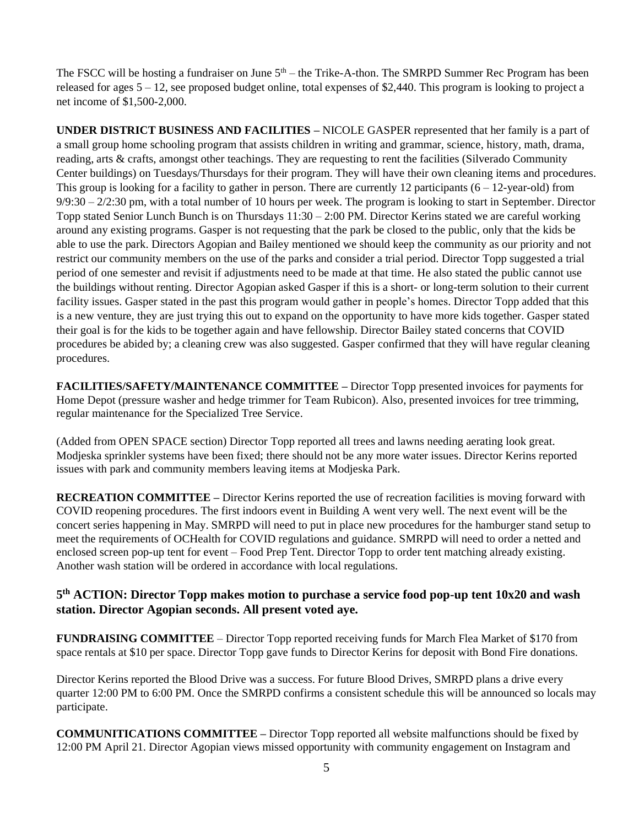The FSCC will be hosting a fundraiser on June  $5<sup>th</sup>$  – the Trike-A-thon. The SMRPD Summer Rec Program has been released for ages  $5 - 12$ , see proposed budget online, total expenses of \$2,440. This program is looking to project a net income of \$1,500-2,000.

**UNDER DISTRICT BUSINESS AND FACILITIES –** NICOLE GASPER represented that her family is a part of a small group home schooling program that assists children in writing and grammar, science, history, math, drama, reading, arts & crafts, amongst other teachings. They are requesting to rent the facilities (Silverado Community Center buildings) on Tuesdays/Thursdays for their program. They will have their own cleaning items and procedures. This group is looking for a facility to gather in person. There are currently 12 participants  $(6 - 12$ -year-old) from  $9/9:30 - 2/2:30$  pm, with a total number of 10 hours per week. The program is looking to start in September. Director Topp stated Senior Lunch Bunch is on Thursdays 11:30 – 2:00 PM. Director Kerins stated we are careful working around any existing programs. Gasper is not requesting that the park be closed to the public, only that the kids be able to use the park. Directors Agopian and Bailey mentioned we should keep the community as our priority and not restrict our community members on the use of the parks and consider a trial period. Director Topp suggested a trial period of one semester and revisit if adjustments need to be made at that time. He also stated the public cannot use the buildings without renting. Director Agopian asked Gasper if this is a short- or long-term solution to their current facility issues. Gasper stated in the past this program would gather in people's homes. Director Topp added that this is a new venture, they are just trying this out to expand on the opportunity to have more kids together. Gasper stated their goal is for the kids to be together again and have fellowship. Director Bailey stated concerns that COVID procedures be abided by; a cleaning crew was also suggested. Gasper confirmed that they will have regular cleaning procedures.

**FACILITIES/SAFETY/MAINTENANCE COMMITTEE –** Director Topp presented invoices for payments for Home Depot (pressure washer and hedge trimmer for Team Rubicon). Also, presented invoices for tree trimming, regular maintenance for the Specialized Tree Service.

(Added from OPEN SPACE section) Director Topp reported all trees and lawns needing aerating look great. Modjeska sprinkler systems have been fixed; there should not be any more water issues. Director Kerins reported issues with park and community members leaving items at Modjeska Park.

**RECREATION COMMITTEE –** Director Kerins reported the use of recreation facilities is moving forward with COVID reopening procedures. The first indoors event in Building A went very well. The next event will be the concert series happening in May. SMRPD will need to put in place new procedures for the hamburger stand setup to meet the requirements of OCHealth for COVID regulations and guidance. SMRPD will need to order a netted and enclosed screen pop-up tent for event – Food Prep Tent. Director Topp to order tent matching already existing. Another wash station will be ordered in accordance with local regulations.

## **5 th ACTION: Director Topp makes motion to purchase a service food pop-up tent 10x20 and wash station. Director Agopian seconds. All present voted aye.**

**FUNDRAISING COMMITTEE** – Director Topp reported receiving funds for March Flea Market of \$170 from space rentals at \$10 per space. Director Topp gave funds to Director Kerins for deposit with Bond Fire donations.

Director Kerins reported the Blood Drive was a success. For future Blood Drives, SMRPD plans a drive every quarter 12:00 PM to 6:00 PM. Once the SMRPD confirms a consistent schedule this will be announced so locals may participate.

**COMMUNITICATIONS COMMITTEE –** Director Topp reported all website malfunctions should be fixed by 12:00 PM April 21. Director Agopian views missed opportunity with community engagement on Instagram and